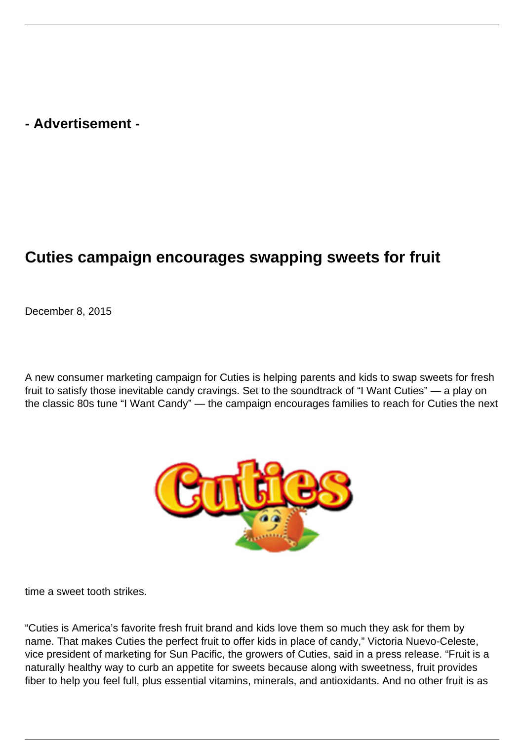## **- Advertisement -**

## **Cuties campaign encourages swapping sweets for fruit**

December 8, 2015

A new consumer marketing campaign for Cuties is helping parents and kids to swap sweets for fresh fruit to satisfy those inevitable candy cravings. Set to the soundtrack of "I Want Cuties" — a play on the classic 80s tune "I Want Candy" — the campaign encourages families to reach for Cuties the next



time a sweet tooth strikes.

"Cuties is America's favorite fresh fruit brand and kids love them so much they ask for them by name. That makes Cuties the perfect fruit to offer kids in place of candy," Victoria Nuevo-Celeste, vice president of marketing for Sun Pacific, the growers of Cuties, said in a press release. "Fruit is a naturally healthy way to curb an appetite for sweets because along with sweetness, fruit provides fiber to help you feel full, plus essential vitamins, minerals, and antioxidants. And no other fruit is as